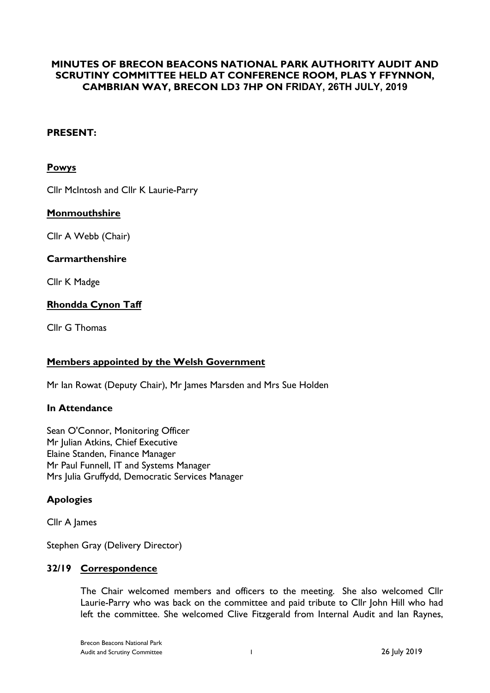# **MINUTES OF BRECON BEACONS NATIONAL PARK AUTHORITY AUDIT AND SCRUTINY COMMITTEE HELD AT CONFERENCE ROOM, PLAS Y FFYNNON, CAMBRIAN WAY, BRECON LD3 7HP ON FRIDAY, 26TH JULY, 2019**

## **PRESENT:**

#### **Powys**

Cllr McIntosh and Cllr K Laurie-Parry

#### **Monmouthshire**

Cllr A Webb (Chair)

#### **Carmarthenshire**

Cllr K Madge

## **Rhondda Cynon Taff**

Cllr G Thomas

#### **Members appointed by the Welsh Government**

Mr Ian Rowat (Deputy Chair), Mr James Marsden and Mrs Sue Holden

#### **In Attendance**

Sean O'Connor, Monitoring Officer Mr Julian Atkins, Chief Executive Elaine Standen, Finance Manager Mr Paul Funnell, IT and Systems Manager Mrs Julia Gruffydd, Democratic Services Manager

#### **Apologies**

Cllr A James

Stephen Gray (Delivery Director)

#### **32/19 Correspondence**

The Chair welcomed members and officers to the meeting. She also welcomed Cllr Laurie-Parry who was back on the committee and paid tribute to Cllr John Hill who had left the committee. She welcomed Clive Fitzgerald from Internal Audit and Ian Raynes,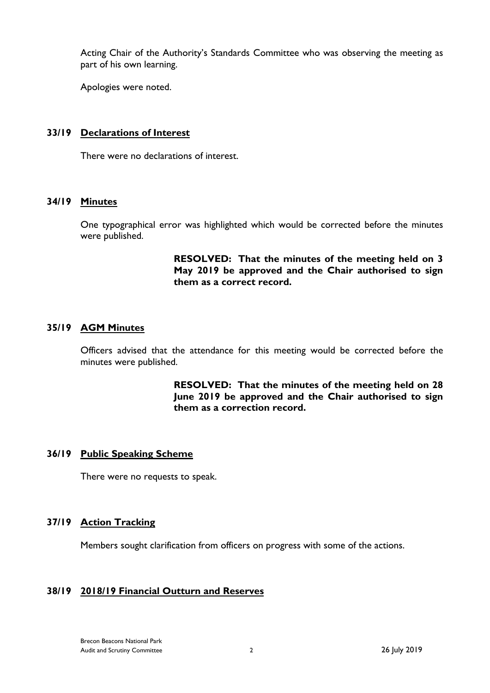Acting Chair of the Authority's Standards Committee who was observing the meeting as part of his own learning.

Apologies were noted.

#### **33/19 Declarations of Interest**

There were no declarations of interest.

## **34/19 Minutes**

One typographical error was highlighted which would be corrected before the minutes were published.

> **RESOLVED: That the minutes of the meeting held on 3 May 2019 be approved and the Chair authorised to sign them as a correct record.**

## **35/19 AGM Minutes**

Officers advised that the attendance for this meeting would be corrected before the minutes were published.

> **RESOLVED: That the minutes of the meeting held on 28 June 2019 be approved and the Chair authorised to sign them as a correction record.**

## **36/19 Public Speaking Scheme**

There were no requests to speak.

#### **37/19 Action Tracking**

Members sought clarification from officers on progress with some of the actions.

## **38/19 2018/19 Financial Outturn and Reserves**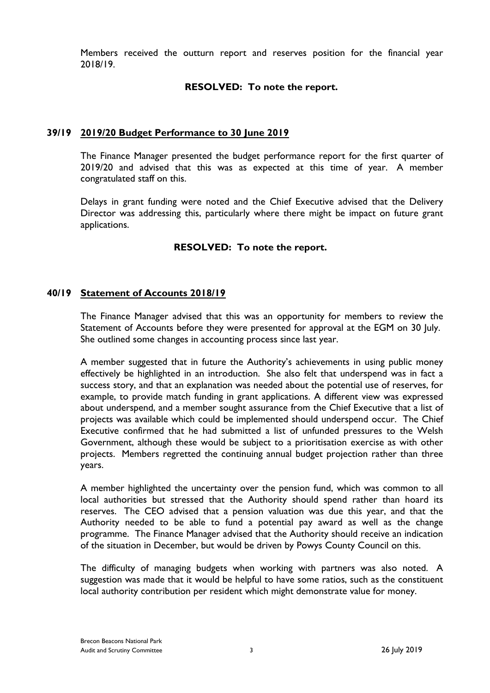Members received the outturn report and reserves position for the financial year 2018/19.

## **RESOLVED: To note the report.**

#### **39/19 2019/20 Budget Performance to 30 June 2019**

The Finance Manager presented the budget performance report for the first quarter of 2019/20 and advised that this was as expected at this time of year. A member congratulated staff on this.

Delays in grant funding were noted and the Chief Executive advised that the Delivery Director was addressing this, particularly where there might be impact on future grant applications.

## **RESOLVED: To note the report.**

## **40/19 Statement of Accounts 2018/19**

The Finance Manager advised that this was an opportunity for members to review the Statement of Accounts before they were presented for approval at the EGM on 30 July. She outlined some changes in accounting process since last year.

A member suggested that in future the Authority's achievements in using public money effectively be highlighted in an introduction. She also felt that underspend was in fact a success story, and that an explanation was needed about the potential use of reserves, for example, to provide match funding in grant applications. A different view was expressed about underspend, and a member sought assurance from the Chief Executive that a list of projects was available which could be implemented should underspend occur. The Chief Executive confirmed that he had submitted a list of unfunded pressures to the Welsh Government, although these would be subject to a prioritisation exercise as with other projects. Members regretted the continuing annual budget projection rather than three years.

A member highlighted the uncertainty over the pension fund, which was common to all local authorities but stressed that the Authority should spend rather than hoard its reserves. The CEO advised that a pension valuation was due this year, and that the Authority needed to be able to fund a potential pay award as well as the change programme. The Finance Manager advised that the Authority should receive an indication of the situation in December, but would be driven by Powys County Council on this.

The difficulty of managing budgets when working with partners was also noted. A suggestion was made that it would be helpful to have some ratios, such as the constituent local authority contribution per resident which might demonstrate value for money.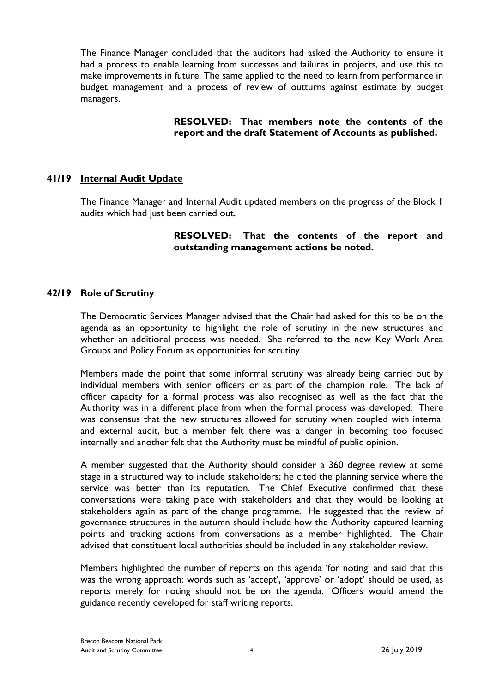The Finance Manager concluded that the auditors had asked the Authority to ensure it had a process to enable learning from successes and failures in projects, and use this to make improvements in future. The same applied to the need to learn from performance in budget management and a process of review of outturns against estimate by budget managers.

## **RESOLVED: That members note the contents of the report and the draft Statement of Accounts as published.**

## **41/19 Internal Audit Update**

The Finance Manager and Internal Audit updated members on the progress of the Block 1 audits which had just been carried out.

## **RESOLVED: That the contents of the report and outstanding management actions be noted.**

## **42/19 Role of Scrutiny**

The Democratic Services Manager advised that the Chair had asked for this to be on the agenda as an opportunity to highlight the role of scrutiny in the new structures and whether an additional process was needed. She referred to the new Key Work Area Groups and Policy Forum as opportunities for scrutiny.

Members made the point that some informal scrutiny was already being carried out by individual members with senior officers or as part of the champion role. The lack of officer capacity for a formal process was also recognised as well as the fact that the Authority was in a different place from when the formal process was developed. There was consensus that the new structures allowed for scrutiny when coupled with internal and external audit, but a member felt there was a danger in becoming too focused internally and another felt that the Authority must be mindful of public opinion.

A member suggested that the Authority should consider a 360 degree review at some stage in a structured way to include stakeholders; he cited the planning service where the service was better than its reputation. The Chief Executive confirmed that these conversations were taking place with stakeholders and that they would be looking at stakeholders again as part of the change programme. He suggested that the review of governance structures in the autumn should include how the Authority captured learning points and tracking actions from conversations as a member highlighted. The Chair advised that constituent local authorities should be included in any stakeholder review.

Members highlighted the number of reports on this agenda 'for noting' and said that this was the wrong approach: words such as 'accept', 'approve' or 'adopt' should be used, as reports merely for noting should not be on the agenda. Officers would amend the guidance recently developed for staff writing reports.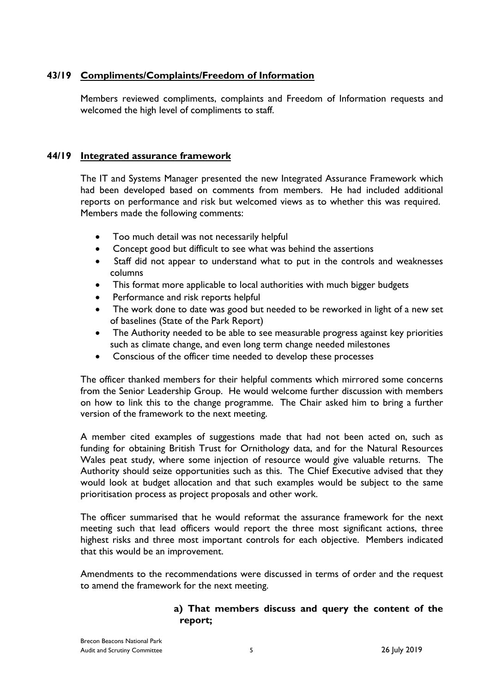# **43/19 Compliments/Complaints/Freedom of Information**

Members reviewed compliments, complaints and Freedom of Information requests and welcomed the high level of compliments to staff.

## **44/19 Integrated assurance framework**

The IT and Systems Manager presented the new Integrated Assurance Framework which had been developed based on comments from members. He had included additional reports on performance and risk but welcomed views as to whether this was required. Members made the following comments:

- Too much detail was not necessarily helpful
- Concept good but difficult to see what was behind the assertions
- Staff did not appear to understand what to put in the controls and weaknesses columns
- This format more applicable to local authorities with much bigger budgets
- Performance and risk reports helpful
- The work done to date was good but needed to be reworked in light of a new set of baselines (State of the Park Report)
- The Authority needed to be able to see measurable progress against key priorities such as climate change, and even long term change needed milestones
- Conscious of the officer time needed to develop these processes

The officer thanked members for their helpful comments which mirrored some concerns from the Senior Leadership Group. He would welcome further discussion with members on how to link this to the change programme. The Chair asked him to bring a further version of the framework to the next meeting.

A member cited examples of suggestions made that had not been acted on, such as funding for obtaining British Trust for Ornithology data, and for the Natural Resources Wales peat study, where some injection of resource would give valuable returns. The Authority should seize opportunities such as this. The Chief Executive advised that they would look at budget allocation and that such examples would be subject to the same prioritisation process as project proposals and other work.

The officer summarised that he would reformat the assurance framework for the next meeting such that lead officers would report the three most significant actions, three highest risks and three most important controls for each objective. Members indicated that this would be an improvement.

Amendments to the recommendations were discussed in terms of order and the request to amend the framework for the next meeting.

# **a) That members discuss and query the content of the report;**